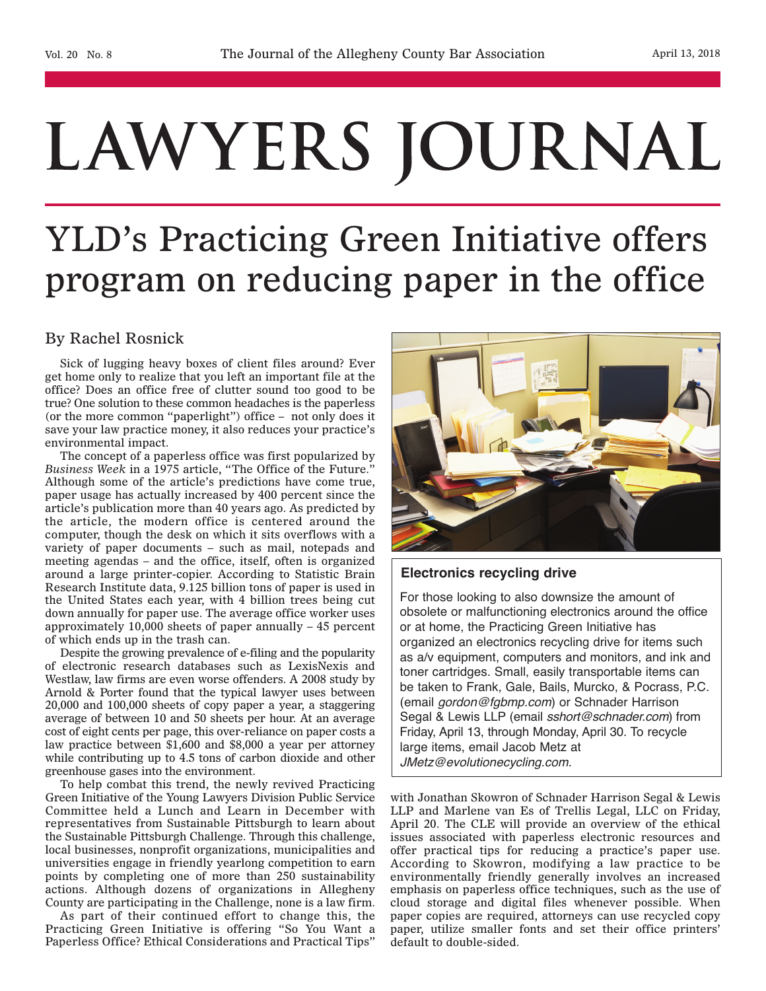# LAWYERS JOURNAL

## YLD's Practicing Green Initiative offers program on reducing paper in the office

### By Rachel Rosnick

Sick of lugging heavy boxes of client files around? Ever get home only to realize that you left an important file at the office? Does an office free of clutter sound too good to be true? One solution to these common headaches is the paperless (or the more common "paperlight") office – not only does it save your law practice money, it also reduces your practice's environmental impact.

The concept of a paperless office was first popularized by *Business Week* in a 1975 article, "The Office of the Future." Although some of the article's predictions have come true, paper usage has actually increased by 400 percent since the article's publication more than 40 years ago. As predicted by the article, the modern office is centered around the computer, though the desk on which it sits overflows with a variety of paper documents – such as mail, notepads and meeting agendas – and the office, itself, often is organized around a large printer-copier. According to Statistic Brain Research Institute data, 9.125 billion tons of paper is used in the United States each year, with 4 billion trees being cut down annually for paper use. The average office worker uses approximately 10,000 sheets of paper annually – 45 percent of which ends up in the trash can.

Despite the growing prevalence of e-filing and the popularity of electronic research databases such as LexisNexis and Westlaw, law firms are even worse offenders. A 2008 study by Arnold & Porter found that the typical lawyer uses between 20,000 and 100,000 sheets of copy paper a year, a staggering average of between 10 and 50 sheets per hour. At an average cost of eight cents per page, this over-reliance on paper costs a law practice between \$1,600 and \$8,000 a year per attorney while contributing up to 4.5 tons of carbon dioxide and other greenhouse gases into the environment.

To help combat this trend, the newly revived Practicing Green Initiative of the Young Lawyers Division Public Service Committee held a Lunch and Learn in December with representatives from Sustainable Pittsburgh to learn about the Sustainable Pittsburgh Challenge. Through this challenge, local businesses, nonprofit organizations, municipalities and universities engage in friendly yearlong competition to earn points by completing one of more than 250 sustainability actions. Although dozens of organizations in Allegheny County are participating in the Challenge, none is a law firm.

As part of their continued effort to change this, the Practicing Green Initiative is offering "So You Want a Paperless Office? Ethical Considerations and Practical Tips"



#### **Electronics recycling drive**

For those looking to also downsize the amount of obsolete or malfunctioning electronics around the office or at home, the Practicing Green Initiative has organized an electronics recycling drive for items such as a/v equipment, computers and monitors, and ink and toner cartridges. Small, easily transportable items can be taken to Frank, Gale, Bails, Murcko, & Pocrass, P.C. (email *gordon@fgbmp.com*) or Schnader Harrison Segal & Lewis LLP (email *sshort@schnader.com*) from Friday, April 13, through Monday, April 30. To recycle large items, email Jacob Metz at *JMetz@evolutionecycling.com.*

with Jonathan Skowron of Schnader Harrison Segal & Lewis LLP and Marlene van Es of Trellis Legal, LLC on Friday, April 20. The CLE will provide an overview of the ethical issues associated with paperless electronic resources and offer practical tips for reducing a practice's paper use. According to Skowron, modifying a law practice to be environmentally friendly generally involves an increased emphasis on paperless office techniques, such as the use of cloud storage and digital files whenever possible. When paper copies are required, attorneys can use recycled copy paper, utilize smaller fonts and set their office printers' default to double-sided.